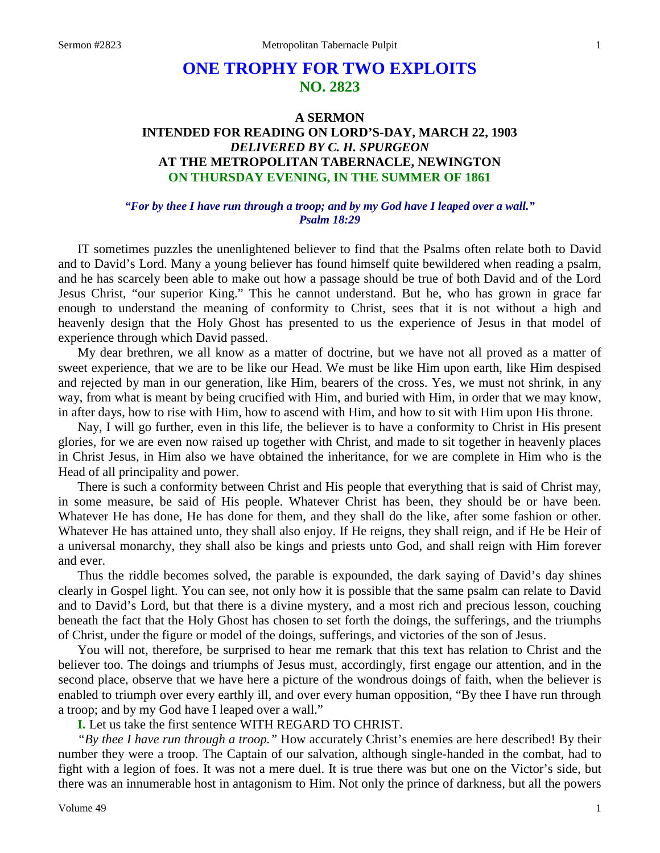## **ONE TROPHY FOR TWO EXPLOITS NO. 2823**

## **A SERMON INTENDED FOR READING ON LORD'S-DAY, MARCH 22, 1903** *DELIVERED BY C. H. SPURGEON* **AT THE METROPOLITAN TABERNACLE, NEWINGTON ON THURSDAY EVENING, IN THE SUMMER OF 1861**

## *"For by thee I have run through a troop; and by my God have I leaped over a wall." Psalm 18:29*

IT sometimes puzzles the unenlightened believer to find that the Psalms often relate both to David and to David's Lord. Many a young believer has found himself quite bewildered when reading a psalm, and he has scarcely been able to make out how a passage should be true of both David and of the Lord Jesus Christ, "our superior King." This he cannot understand. But he, who has grown in grace far enough to understand the meaning of conformity to Christ, sees that it is not without a high and heavenly design that the Holy Ghost has presented to us the experience of Jesus in that model of experience through which David passed.

My dear brethren, we all know as a matter of doctrine, but we have not all proved as a matter of sweet experience, that we are to be like our Head. We must be like Him upon earth, like Him despised and rejected by man in our generation, like Him, bearers of the cross. Yes, we must not shrink, in any way, from what is meant by being crucified with Him, and buried with Him, in order that we may know, in after days, how to rise with Him, how to ascend with Him, and how to sit with Him upon His throne.

Nay, I will go further, even in this life, the believer is to have a conformity to Christ in His present glories, for we are even now raised up together with Christ, and made to sit together in heavenly places in Christ Jesus, in Him also we have obtained the inheritance, for we are complete in Him who is the Head of all principality and power.

There is such a conformity between Christ and His people that everything that is said of Christ may, in some measure, be said of His people. Whatever Christ has been, they should be or have been. Whatever He has done, He has done for them, and they shall do the like, after some fashion or other. Whatever He has attained unto, they shall also enjoy. If He reigns, they shall reign, and if He be Heir of a universal monarchy, they shall also be kings and priests unto God, and shall reign with Him forever and ever.

Thus the riddle becomes solved, the parable is expounded, the dark saying of David's day shines clearly in Gospel light. You can see, not only how it is possible that the same psalm can relate to David and to David's Lord, but that there is a divine mystery, and a most rich and precious lesson, couching beneath the fact that the Holy Ghost has chosen to set forth the doings, the sufferings, and the triumphs of Christ, under the figure or model of the doings, sufferings, and victories of the son of Jesus.

You will not, therefore, be surprised to hear me remark that this text has relation to Christ and the believer too. The doings and triumphs of Jesus must, accordingly, first engage our attention, and in the second place, observe that we have here a picture of the wondrous doings of faith, when the believer is enabled to triumph over every earthly ill, and over every human opposition, "By thee I have run through a troop; and by my God have I leaped over a wall."

**I.** Let us take the first sentence WITH REGARD TO CHRIST.

*"By thee I have run through a troop."* How accurately Christ's enemies are here described! By their number they were a troop. The Captain of our salvation, although single-handed in the combat, had to fight with a legion of foes. It was not a mere duel. It is true there was but one on the Victor's side, but there was an innumerable host in antagonism to Him. Not only the prince of darkness, but all the powers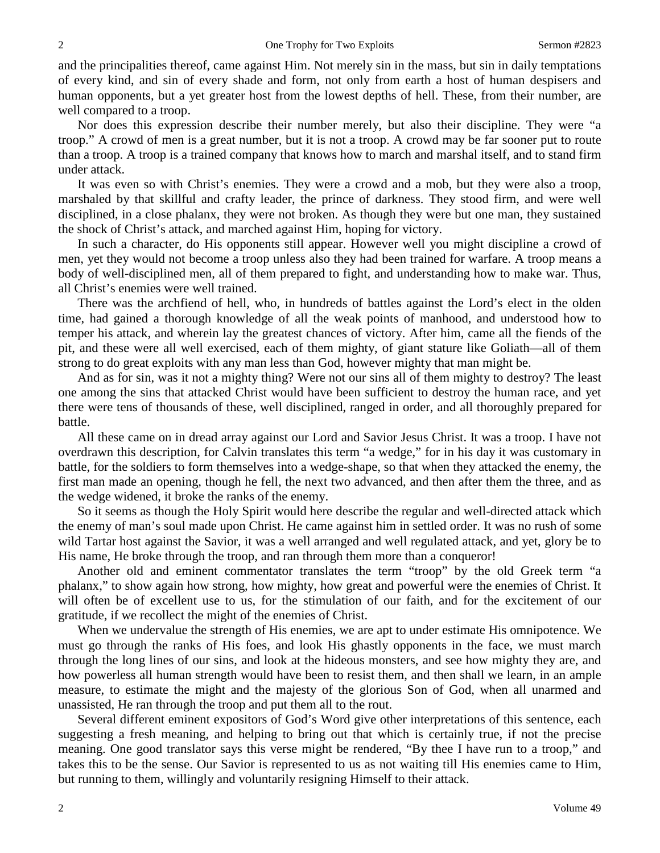and the principalities thereof, came against Him. Not merely sin in the mass, but sin in daily temptations of every kind, and sin of every shade and form, not only from earth a host of human despisers and human opponents, but a yet greater host from the lowest depths of hell. These, from their number, are well compared to a troop.

Nor does this expression describe their number merely, but also their discipline. They were "a troop." A crowd of men is a great number, but it is not a troop. A crowd may be far sooner put to route than a troop. A troop is a trained company that knows how to march and marshal itself, and to stand firm under attack.

It was even so with Christ's enemies. They were a crowd and a mob, but they were also a troop, marshaled by that skillful and crafty leader, the prince of darkness. They stood firm, and were well disciplined, in a close phalanx, they were not broken. As though they were but one man, they sustained the shock of Christ's attack, and marched against Him, hoping for victory.

In such a character, do His opponents still appear. However well you might discipline a crowd of men, yet they would not become a troop unless also they had been trained for warfare. A troop means a body of well-disciplined men, all of them prepared to fight, and understanding how to make war. Thus, all Christ's enemies were well trained.

There was the archfiend of hell, who, in hundreds of battles against the Lord's elect in the olden time, had gained a thorough knowledge of all the weak points of manhood, and understood how to temper his attack, and wherein lay the greatest chances of victory. After him, came all the fiends of the pit, and these were all well exercised, each of them mighty, of giant stature like Goliath—all of them strong to do great exploits with any man less than God, however mighty that man might be.

And as for sin, was it not a mighty thing? Were not our sins all of them mighty to destroy? The least one among the sins that attacked Christ would have been sufficient to destroy the human race, and yet there were tens of thousands of these, well disciplined, ranged in order, and all thoroughly prepared for battle.

All these came on in dread array against our Lord and Savior Jesus Christ. It was a troop. I have not overdrawn this description, for Calvin translates this term "a wedge," for in his day it was customary in battle, for the soldiers to form themselves into a wedge-shape, so that when they attacked the enemy, the first man made an opening, though he fell, the next two advanced, and then after them the three, and as the wedge widened, it broke the ranks of the enemy.

So it seems as though the Holy Spirit would here describe the regular and well-directed attack which the enemy of man's soul made upon Christ. He came against him in settled order. It was no rush of some wild Tartar host against the Savior, it was a well arranged and well regulated attack, and yet, glory be to His name, He broke through the troop, and ran through them more than a conqueror!

Another old and eminent commentator translates the term "troop" by the old Greek term "a phalanx," to show again how strong, how mighty, how great and powerful were the enemies of Christ. It will often be of excellent use to us, for the stimulation of our faith, and for the excitement of our gratitude, if we recollect the might of the enemies of Christ.

When we undervalue the strength of His enemies, we are apt to under estimate His omnipotence. We must go through the ranks of His foes, and look His ghastly opponents in the face, we must march through the long lines of our sins, and look at the hideous monsters, and see how mighty they are, and how powerless all human strength would have been to resist them, and then shall we learn, in an ample measure, to estimate the might and the majesty of the glorious Son of God, when all unarmed and unassisted, He ran through the troop and put them all to the rout.

Several different eminent expositors of God's Word give other interpretations of this sentence, each suggesting a fresh meaning, and helping to bring out that which is certainly true, if not the precise meaning. One good translator says this verse might be rendered, "By thee I have run to a troop," and takes this to be the sense. Our Savior is represented to us as not waiting till His enemies came to Him, but running to them, willingly and voluntarily resigning Himself to their attack.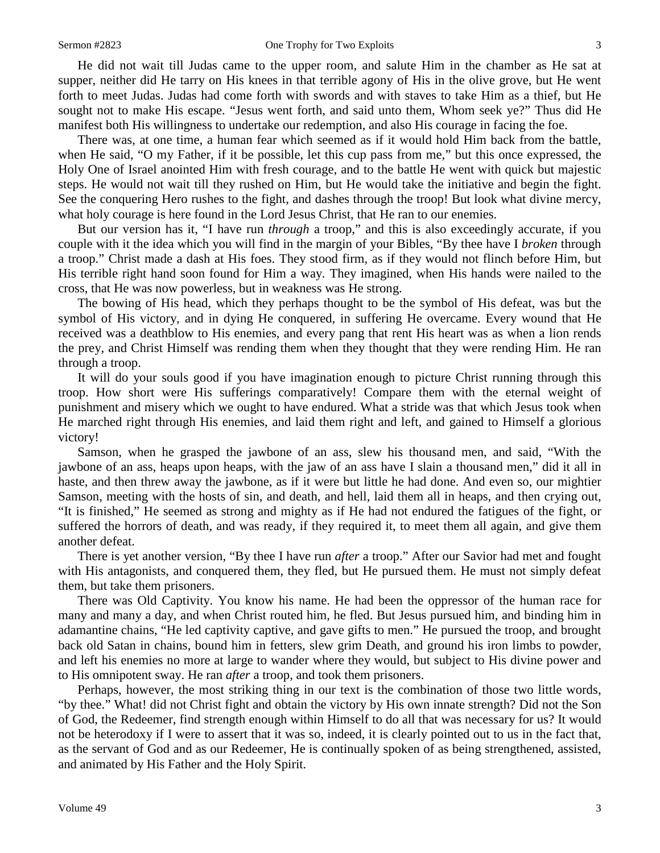He did not wait till Judas came to the upper room, and salute Him in the chamber as He sat at supper, neither did He tarry on His knees in that terrible agony of His in the olive grove, but He went forth to meet Judas. Judas had come forth with swords and with staves to take Him as a thief, but He sought not to make His escape. "Jesus went forth, and said unto them, Whom seek ye?" Thus did He manifest both His willingness to undertake our redemption, and also His courage in facing the foe.

There was, at one time, a human fear which seemed as if it would hold Him back from the battle, when He said, "O my Father, if it be possible, let this cup pass from me," but this once expressed, the Holy One of Israel anointed Him with fresh courage, and to the battle He went with quick but majestic steps. He would not wait till they rushed on Him, but He would take the initiative and begin the fight. See the conquering Hero rushes to the fight, and dashes through the troop! But look what divine mercy, what holy courage is here found in the Lord Jesus Christ, that He ran to our enemies.

But our version has it, "I have run *through* a troop," and this is also exceedingly accurate, if you couple with it the idea which you will find in the margin of your Bibles, "By thee have I *broken* through a troop." Christ made a dash at His foes. They stood firm, as if they would not flinch before Him, but His terrible right hand soon found for Him a way. They imagined, when His hands were nailed to the cross, that He was now powerless, but in weakness was He strong.

The bowing of His head, which they perhaps thought to be the symbol of His defeat, was but the symbol of His victory, and in dying He conquered, in suffering He overcame. Every wound that He received was a deathblow to His enemies, and every pang that rent His heart was as when a lion rends the prey, and Christ Himself was rending them when they thought that they were rending Him. He ran through a troop.

It will do your souls good if you have imagination enough to picture Christ running through this troop. How short were His sufferings comparatively! Compare them with the eternal weight of punishment and misery which we ought to have endured. What a stride was that which Jesus took when He marched right through His enemies, and laid them right and left, and gained to Himself a glorious victory!

Samson, when he grasped the jawbone of an ass, slew his thousand men, and said, "With the jawbone of an ass, heaps upon heaps, with the jaw of an ass have I slain a thousand men," did it all in haste, and then threw away the jawbone, as if it were but little he had done. And even so, our mightier Samson, meeting with the hosts of sin, and death, and hell, laid them all in heaps, and then crying out, "It is finished," He seemed as strong and mighty as if He had not endured the fatigues of the fight, or suffered the horrors of death, and was ready, if they required it, to meet them all again, and give them another defeat.

There is yet another version, "By thee I have run *after* a troop." After our Savior had met and fought with His antagonists, and conquered them, they fled, but He pursued them. He must not simply defeat them, but take them prisoners.

There was Old Captivity. You know his name. He had been the oppressor of the human race for many and many a day, and when Christ routed him, he fled. But Jesus pursued him, and binding him in adamantine chains, "He led captivity captive, and gave gifts to men." He pursued the troop, and brought back old Satan in chains, bound him in fetters, slew grim Death, and ground his iron limbs to powder, and left his enemies no more at large to wander where they would, but subject to His divine power and to His omnipotent sway. He ran *after* a troop, and took them prisoners.

Perhaps, however, the most striking thing in our text is the combination of those two little words, "by thee." What! did not Christ fight and obtain the victory by His own innate strength? Did not the Son of God, the Redeemer, find strength enough within Himself to do all that was necessary for us? It would not be heterodoxy if I were to assert that it was so, indeed, it is clearly pointed out to us in the fact that, as the servant of God and as our Redeemer, He is continually spoken of as being strengthened, assisted, and animated by His Father and the Holy Spirit.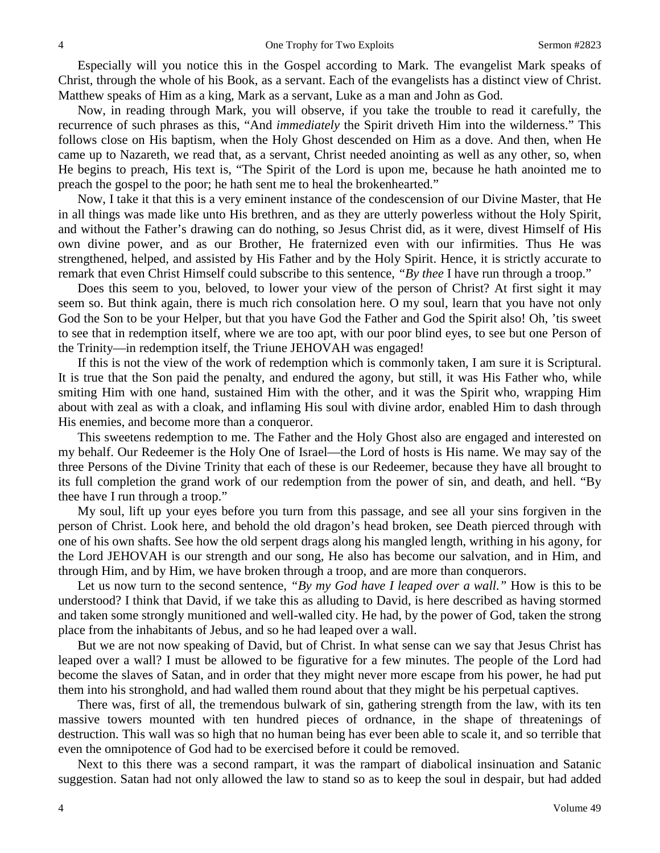Especially will you notice this in the Gospel according to Mark. The evangelist Mark speaks of Christ, through the whole of his Book, as a servant. Each of the evangelists has a distinct view of Christ. Matthew speaks of Him as a king, Mark as a servant, Luke as a man and John as God.

Now, in reading through Mark, you will observe, if you take the trouble to read it carefully, the recurrence of such phrases as this, "And *immediately* the Spirit driveth Him into the wilderness." This follows close on His baptism, when the Holy Ghost descended on Him as a dove. And then, when He came up to Nazareth, we read that, as a servant, Christ needed anointing as well as any other, so, when He begins to preach, His text is, "The Spirit of the Lord is upon me, because he hath anointed me to preach the gospel to the poor; he hath sent me to heal the brokenhearted."

Now, I take it that this is a very eminent instance of the condescension of our Divine Master, that He in all things was made like unto His brethren, and as they are utterly powerless without the Holy Spirit, and without the Father's drawing can do nothing, so Jesus Christ did, as it were, divest Himself of His own divine power, and as our Brother, He fraternized even with our infirmities. Thus He was strengthened, helped, and assisted by His Father and by the Holy Spirit. Hence, it is strictly accurate to remark that even Christ Himself could subscribe to this sentence, *"By thee* I have run through a troop."

Does this seem to you, beloved, to lower your view of the person of Christ? At first sight it may seem so. But think again, there is much rich consolation here. O my soul, learn that you have not only God the Son to be your Helper, but that you have God the Father and God the Spirit also! Oh, 'tis sweet to see that in redemption itself, where we are too apt, with our poor blind eyes, to see but one Person of the Trinity—in redemption itself, the Triune JEHOVAH was engaged!

If this is not the view of the work of redemption which is commonly taken, I am sure it is Scriptural. It is true that the Son paid the penalty, and endured the agony, but still, it was His Father who, while smiting Him with one hand, sustained Him with the other, and it was the Spirit who, wrapping Him about with zeal as with a cloak, and inflaming His soul with divine ardor, enabled Him to dash through His enemies, and become more than a conqueror.

This sweetens redemption to me. The Father and the Holy Ghost also are engaged and interested on my behalf. Our Redeemer is the Holy One of Israel—the Lord of hosts is His name. We may say of the three Persons of the Divine Trinity that each of these is our Redeemer, because they have all brought to its full completion the grand work of our redemption from the power of sin, and death, and hell. "By thee have I run through a troop."

My soul, lift up your eyes before you turn from this passage, and see all your sins forgiven in the person of Christ. Look here, and behold the old dragon's head broken, see Death pierced through with one of his own shafts. See how the old serpent drags along his mangled length, writhing in his agony, for the Lord JEHOVAH is our strength and our song, He also has become our salvation, and in Him, and through Him, and by Him, we have broken through a troop, and are more than conquerors.

Let us now turn to the second sentence, *"By my God have I leaped over a wall."* How is this to be understood? I think that David, if we take this as alluding to David, is here described as having stormed and taken some strongly munitioned and well-walled city. He had, by the power of God, taken the strong place from the inhabitants of Jebus, and so he had leaped over a wall.

But we are not now speaking of David, but of Christ. In what sense can we say that Jesus Christ has leaped over a wall? I must be allowed to be figurative for a few minutes. The people of the Lord had become the slaves of Satan, and in order that they might never more escape from his power, he had put them into his stronghold, and had walled them round about that they might be his perpetual captives.

There was, first of all, the tremendous bulwark of sin, gathering strength from the law, with its ten massive towers mounted with ten hundred pieces of ordnance, in the shape of threatenings of destruction. This wall was so high that no human being has ever been able to scale it, and so terrible that even the omnipotence of God had to be exercised before it could be removed.

Next to this there was a second rampart, it was the rampart of diabolical insinuation and Satanic suggestion. Satan had not only allowed the law to stand so as to keep the soul in despair, but had added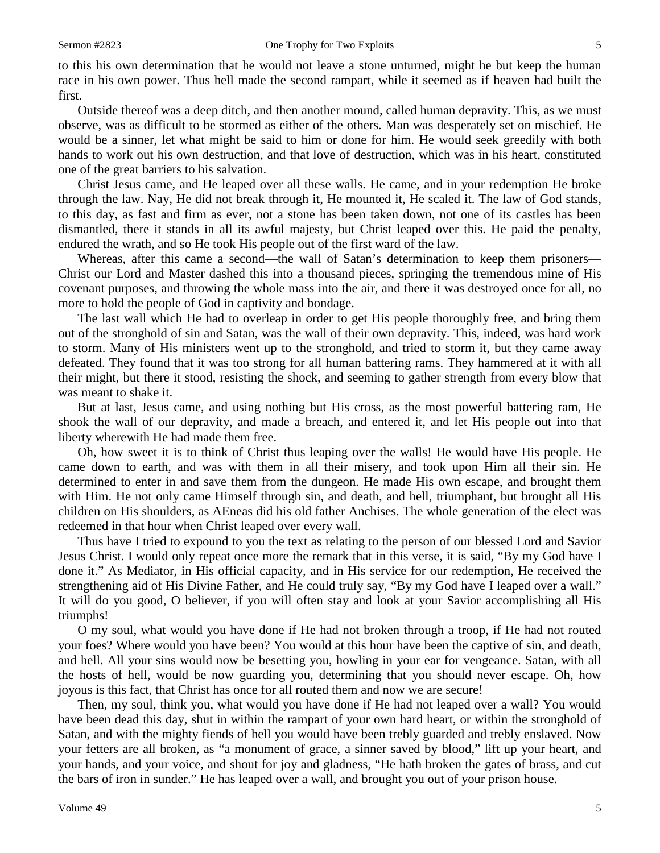to this his own determination that he would not leave a stone unturned, might he but keep the human race in his own power. Thus hell made the second rampart, while it seemed as if heaven had built the first.

Outside thereof was a deep ditch, and then another mound, called human depravity. This, as we must observe, was as difficult to be stormed as either of the others. Man was desperately set on mischief. He would be a sinner, let what might be said to him or done for him. He would seek greedily with both hands to work out his own destruction, and that love of destruction, which was in his heart, constituted one of the great barriers to his salvation.

Christ Jesus came, and He leaped over all these walls. He came, and in your redemption He broke through the law. Nay, He did not break through it, He mounted it, He scaled it. The law of God stands, to this day, as fast and firm as ever, not a stone has been taken down, not one of its castles has been dismantled, there it stands in all its awful majesty, but Christ leaped over this. He paid the penalty, endured the wrath, and so He took His people out of the first ward of the law.

Whereas, after this came a second—the wall of Satan's determination to keep them prisoners— Christ our Lord and Master dashed this into a thousand pieces, springing the tremendous mine of His covenant purposes, and throwing the whole mass into the air, and there it was destroyed once for all, no more to hold the people of God in captivity and bondage.

The last wall which He had to overleap in order to get His people thoroughly free, and bring them out of the stronghold of sin and Satan, was the wall of their own depravity. This, indeed, was hard work to storm. Many of His ministers went up to the stronghold, and tried to storm it, but they came away defeated. They found that it was too strong for all human battering rams. They hammered at it with all their might, but there it stood, resisting the shock, and seeming to gather strength from every blow that was meant to shake it.

But at last, Jesus came, and using nothing but His cross, as the most powerful battering ram, He shook the wall of our depravity, and made a breach, and entered it, and let His people out into that liberty wherewith He had made them free.

Oh, how sweet it is to think of Christ thus leaping over the walls! He would have His people. He came down to earth, and was with them in all their misery, and took upon Him all their sin. He determined to enter in and save them from the dungeon. He made His own escape, and brought them with Him. He not only came Himself through sin, and death, and hell, triumphant, but brought all His children on His shoulders, as AEneas did his old father Anchises. The whole generation of the elect was redeemed in that hour when Christ leaped over every wall.

Thus have I tried to expound to you the text as relating to the person of our blessed Lord and Savior Jesus Christ. I would only repeat once more the remark that in this verse, it is said, "By my God have I done it." As Mediator, in His official capacity, and in His service for our redemption, He received the strengthening aid of His Divine Father, and He could truly say, "By my God have I leaped over a wall." It will do you good, O believer, if you will often stay and look at your Savior accomplishing all His triumphs!

O my soul, what would you have done if He had not broken through a troop, if He had not routed your foes? Where would you have been? You would at this hour have been the captive of sin, and death, and hell. All your sins would now be besetting you, howling in your ear for vengeance. Satan, with all the hosts of hell, would be now guarding you, determining that you should never escape. Oh, how joyous is this fact, that Christ has once for all routed them and now we are secure!

Then, my soul, think you, what would you have done if He had not leaped over a wall? You would have been dead this day, shut in within the rampart of your own hard heart, or within the stronghold of Satan, and with the mighty fiends of hell you would have been trebly guarded and trebly enslaved. Now your fetters are all broken, as "a monument of grace, a sinner saved by blood," lift up your heart, and your hands, and your voice, and shout for joy and gladness, "He hath broken the gates of brass, and cut the bars of iron in sunder." He has leaped over a wall, and brought you out of your prison house.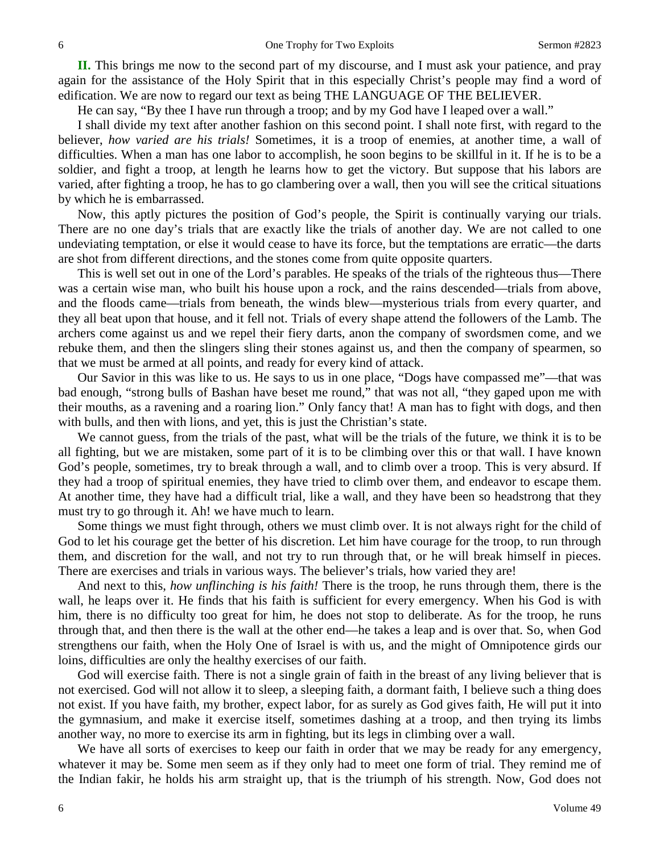**II.** This brings me now to the second part of my discourse, and I must ask your patience, and pray again for the assistance of the Holy Spirit that in this especially Christ's people may find a word of edification. We are now to regard our text as being THE LANGUAGE OF THE BELIEVER.

He can say, "By thee I have run through a troop; and by my God have I leaped over a wall."

I shall divide my text after another fashion on this second point. I shall note first, with regard to the believer, *how varied are his trials!* Sometimes, it is a troop of enemies, at another time, a wall of difficulties. When a man has one labor to accomplish, he soon begins to be skillful in it. If he is to be a soldier, and fight a troop, at length he learns how to get the victory. But suppose that his labors are varied, after fighting a troop, he has to go clambering over a wall, then you will see the critical situations by which he is embarrassed.

Now, this aptly pictures the position of God's people, the Spirit is continually varying our trials. There are no one day's trials that are exactly like the trials of another day. We are not called to one undeviating temptation, or else it would cease to have its force, but the temptations are erratic—the darts are shot from different directions, and the stones come from quite opposite quarters.

This is well set out in one of the Lord's parables. He speaks of the trials of the righteous thus—There was a certain wise man, who built his house upon a rock, and the rains descended—trials from above, and the floods came—trials from beneath, the winds blew—mysterious trials from every quarter, and they all beat upon that house, and it fell not. Trials of every shape attend the followers of the Lamb. The archers come against us and we repel their fiery darts, anon the company of swordsmen come, and we rebuke them, and then the slingers sling their stones against us, and then the company of spearmen, so that we must be armed at all points, and ready for every kind of attack.

Our Savior in this was like to us. He says to us in one place, "Dogs have compassed me"—that was bad enough, "strong bulls of Bashan have beset me round," that was not all, "they gaped upon me with their mouths, as a ravening and a roaring lion." Only fancy that! A man has to fight with dogs, and then with bulls, and then with lions, and yet, this is just the Christian's state.

We cannot guess, from the trials of the past, what will be the trials of the future, we think it is to be all fighting, but we are mistaken, some part of it is to be climbing over this or that wall. I have known God's people, sometimes, try to break through a wall, and to climb over a troop. This is very absurd. If they had a troop of spiritual enemies, they have tried to climb over them, and endeavor to escape them. At another time, they have had a difficult trial, like a wall, and they have been so headstrong that they must try to go through it. Ah! we have much to learn.

Some things we must fight through, others we must climb over. It is not always right for the child of God to let his courage get the better of his discretion. Let him have courage for the troop, to run through them, and discretion for the wall, and not try to run through that, or he will break himself in pieces. There are exercises and trials in various ways. The believer's trials, how varied they are!

And next to this, *how unflinching is his faith!* There is the troop, he runs through them, there is the wall, he leaps over it. He finds that his faith is sufficient for every emergency. When his God is with him, there is no difficulty too great for him, he does not stop to deliberate. As for the troop, he runs through that, and then there is the wall at the other end—he takes a leap and is over that. So, when God strengthens our faith, when the Holy One of Israel is with us, and the might of Omnipotence girds our loins, difficulties are only the healthy exercises of our faith.

God will exercise faith. There is not a single grain of faith in the breast of any living believer that is not exercised. God will not allow it to sleep, a sleeping faith, a dormant faith, I believe such a thing does not exist. If you have faith, my brother, expect labor, for as surely as God gives faith, He will put it into the gymnasium, and make it exercise itself, sometimes dashing at a troop, and then trying its limbs another way, no more to exercise its arm in fighting, but its legs in climbing over a wall.

We have all sorts of exercises to keep our faith in order that we may be ready for any emergency, whatever it may be. Some men seem as if they only had to meet one form of trial. They remind me of the Indian fakir, he holds his arm straight up, that is the triumph of his strength. Now, God does not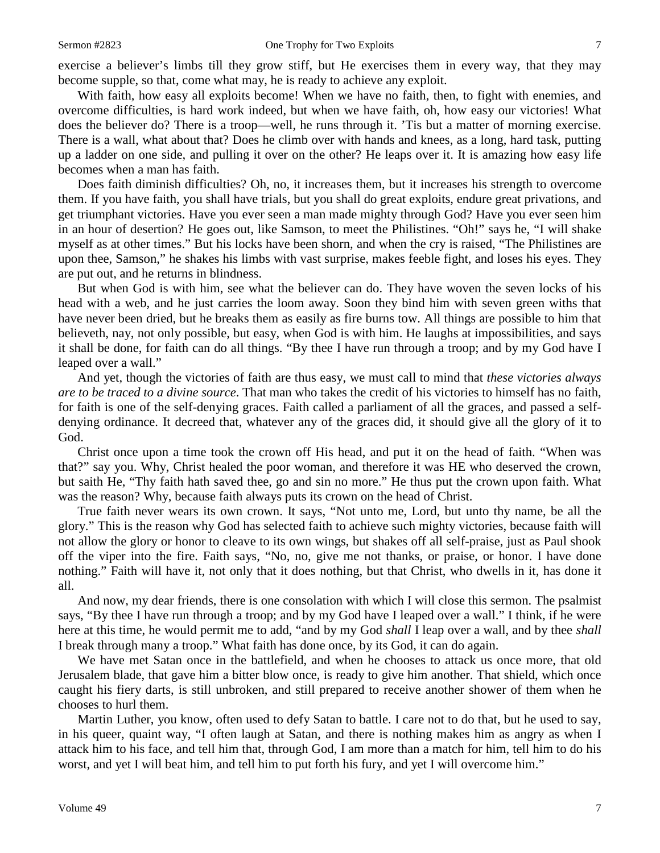exercise a believer's limbs till they grow stiff, but He exercises them in every way, that they may become supple, so that, come what may, he is ready to achieve any exploit.

With faith, how easy all exploits become! When we have no faith, then, to fight with enemies, and overcome difficulties, is hard work indeed, but when we have faith, oh, how easy our victories! What does the believer do? There is a troop—well, he runs through it. 'Tis but a matter of morning exercise. There is a wall, what about that? Does he climb over with hands and knees, as a long, hard task, putting up a ladder on one side, and pulling it over on the other? He leaps over it. It is amazing how easy life becomes when a man has faith.

Does faith diminish difficulties? Oh, no, it increases them, but it increases his strength to overcome them. If you have faith, you shall have trials, but you shall do great exploits, endure great privations, and get triumphant victories. Have you ever seen a man made mighty through God? Have you ever seen him in an hour of desertion? He goes out, like Samson, to meet the Philistines. "Oh!" says he, "I will shake myself as at other times." But his locks have been shorn, and when the cry is raised, "The Philistines are upon thee, Samson," he shakes his limbs with vast surprise, makes feeble fight, and loses his eyes. They are put out, and he returns in blindness.

But when God is with him, see what the believer can do. They have woven the seven locks of his head with a web, and he just carries the loom away. Soon they bind him with seven green withs that have never been dried, but he breaks them as easily as fire burns tow. All things are possible to him that believeth, nay, not only possible, but easy, when God is with him. He laughs at impossibilities, and says it shall be done, for faith can do all things. "By thee I have run through a troop; and by my God have I leaped over a wall."

And yet, though the victories of faith are thus easy, we must call to mind that *these victories always are to be traced to a divine source*. That man who takes the credit of his victories to himself has no faith, for faith is one of the self-denying graces. Faith called a parliament of all the graces, and passed a selfdenying ordinance. It decreed that, whatever any of the graces did, it should give all the glory of it to God.

Christ once upon a time took the crown off His head, and put it on the head of faith. "When was that?" say you. Why, Christ healed the poor woman, and therefore it was HE who deserved the crown, but saith He, "Thy faith hath saved thee, go and sin no more." He thus put the crown upon faith. What was the reason? Why, because faith always puts its crown on the head of Christ.

True faith never wears its own crown. It says, "Not unto me, Lord, but unto thy name, be all the glory." This is the reason why God has selected faith to achieve such mighty victories, because faith will not allow the glory or honor to cleave to its own wings, but shakes off all self-praise, just as Paul shook off the viper into the fire. Faith says, "No, no, give me not thanks, or praise, or honor. I have done nothing." Faith will have it, not only that it does nothing, but that Christ, who dwells in it, has done it all.

And now, my dear friends, there is one consolation with which I will close this sermon. The psalmist says, "By thee I have run through a troop; and by my God have I leaped over a wall." I think, if he were here at this time, he would permit me to add, "and by my God *shall* I leap over a wall, and by thee *shall*  I break through many a troop." What faith has done once, by its God, it can do again.

We have met Satan once in the battlefield, and when he chooses to attack us once more, that old Jerusalem blade, that gave him a bitter blow once, is ready to give him another. That shield, which once caught his fiery darts, is still unbroken, and still prepared to receive another shower of them when he chooses to hurl them.

Martin Luther, you know, often used to defy Satan to battle. I care not to do that, but he used to say, in his queer, quaint way, "I often laugh at Satan, and there is nothing makes him as angry as when I attack him to his face, and tell him that, through God, I am more than a match for him, tell him to do his worst, and yet I will beat him, and tell him to put forth his fury, and yet I will overcome him."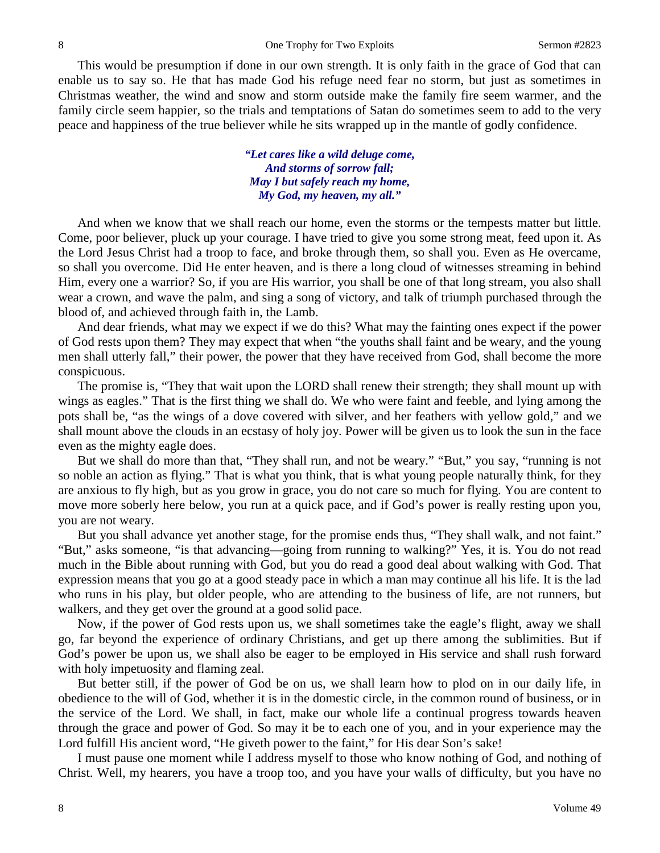This would be presumption if done in our own strength. It is only faith in the grace of God that can enable us to say so. He that has made God his refuge need fear no storm, but just as sometimes in Christmas weather, the wind and snow and storm outside make the family fire seem warmer, and the family circle seem happier, so the trials and temptations of Satan do sometimes seem to add to the very peace and happiness of the true believer while he sits wrapped up in the mantle of godly confidence.

> *"Let cares like a wild deluge come, And storms of sorrow fall; May I but safely reach my home, My God, my heaven, my all."*

And when we know that we shall reach our home, even the storms or the tempests matter but little. Come, poor believer, pluck up your courage. I have tried to give you some strong meat, feed upon it. As the Lord Jesus Christ had a troop to face, and broke through them, so shall you. Even as He overcame, so shall you overcome. Did He enter heaven, and is there a long cloud of witnesses streaming in behind Him, every one a warrior? So, if you are His warrior, you shall be one of that long stream, you also shall wear a crown, and wave the palm, and sing a song of victory, and talk of triumph purchased through the blood of, and achieved through faith in, the Lamb.

And dear friends, what may we expect if we do this? What may the fainting ones expect if the power of God rests upon them? They may expect that when "the youths shall faint and be weary, and the young men shall utterly fall," their power, the power that they have received from God, shall become the more conspicuous.

The promise is, "They that wait upon the LORD shall renew their strength; they shall mount up with wings as eagles." That is the first thing we shall do. We who were faint and feeble, and lying among the pots shall be, "as the wings of a dove covered with silver, and her feathers with yellow gold," and we shall mount above the clouds in an ecstasy of holy joy. Power will be given us to look the sun in the face even as the mighty eagle does.

But we shall do more than that, "They shall run, and not be weary." "But," you say, "running is not so noble an action as flying." That is what you think, that is what young people naturally think, for they are anxious to fly high, but as you grow in grace, you do not care so much for flying. You are content to move more soberly here below, you run at a quick pace, and if God's power is really resting upon you, you are not weary.

But you shall advance yet another stage, for the promise ends thus, "They shall walk, and not faint." "But," asks someone, "is that advancing—going from running to walking?" Yes, it is. You do not read much in the Bible about running with God, but you do read a good deal about walking with God. That expression means that you go at a good steady pace in which a man may continue all his life. It is the lad who runs in his play, but older people, who are attending to the business of life, are not runners, but walkers, and they get over the ground at a good solid pace.

Now, if the power of God rests upon us, we shall sometimes take the eagle's flight, away we shall go, far beyond the experience of ordinary Christians, and get up there among the sublimities. But if God's power be upon us, we shall also be eager to be employed in His service and shall rush forward with holy impetuosity and flaming zeal.

But better still, if the power of God be on us, we shall learn how to plod on in our daily life, in obedience to the will of God, whether it is in the domestic circle, in the common round of business, or in the service of the Lord. We shall, in fact, make our whole life a continual progress towards heaven through the grace and power of God. So may it be to each one of you, and in your experience may the Lord fulfill His ancient word, "He giveth power to the faint," for His dear Son's sake!

I must pause one moment while I address myself to those who know nothing of God, and nothing of Christ. Well, my hearers, you have a troop too, and you have your walls of difficulty, but you have no